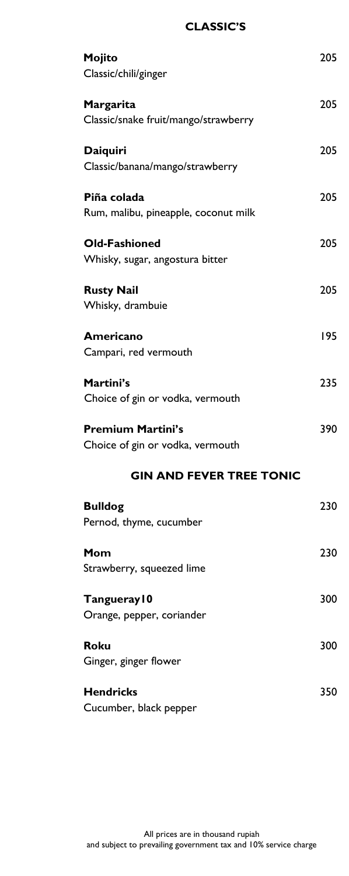## **CLASSIC'S**

| Mojito                               | 205 |
|--------------------------------------|-----|
| Classic/chili/ginger                 |     |
| Margarita                            | 205 |
| Classic/snake fruit/mango/strawberry |     |
| <b>Daiquiri</b>                      | 205 |
| Classic/banana/mango/strawberry      |     |
| Piña colada                          | 205 |
| Rum, malibu, pineapple, coconut milk |     |
| <b>Old-Fashioned</b>                 | 205 |
| Whisky, sugar, angostura bitter      |     |
| <b>Rusty Nail</b>                    | 205 |
| Whisky, drambuie                     |     |
| <b>Americano</b>                     | 195 |
| Campari, red vermouth                |     |
| Martini's                            | 235 |
| Choice of gin or vodka, vermouth     |     |
| <b>Premium Martini's</b>             | 390 |
| Choice of gin or vodka, vermouth     |     |
| <b>GIN AND FEVER TREE TONIC</b>      |     |
| <b>Bulldog</b>                       | 230 |
| Pernod, thyme, cucumber              |     |
| Mom                                  | 230 |
| Strawberry, squeezed lime            |     |
| Tangueray10                          | 300 |
| Orange, pepper, coriander            |     |
| <b>Roku</b>                          | 300 |
| Ginger, ginger flower                |     |
| <b>Hendricks</b>                     | 350 |
| Cucumber, black pepper               |     |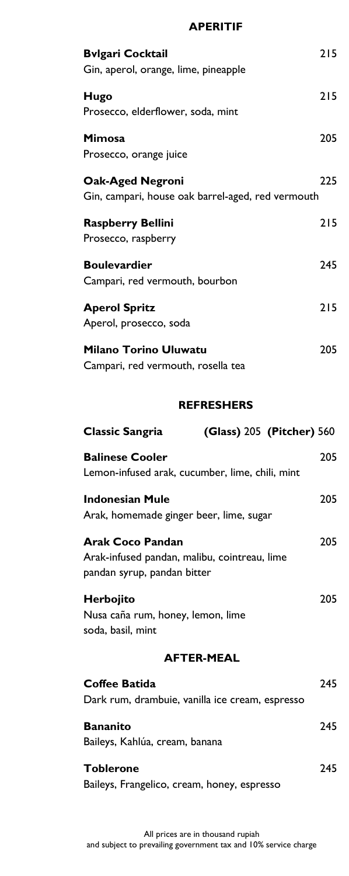#### **APERITIF**

| <b>Bvlgari Cocktail</b>                                                      | 215 |
|------------------------------------------------------------------------------|-----|
| Gin, aperol, orange, lime, pineapple                                         |     |
| Hugo<br>Prosecco, elderflower, soda, mint                                    | 215 |
| <b>Mimosa</b><br>Prosecco, orange juice                                      | 205 |
| <b>Oak-Aged Negroni</b><br>Gin, campari, house oak barrel-aged, red vermouth | 225 |
| <b>Raspberry Bellini</b><br>Prosecco, raspberry                              | 215 |
| <b>Boulevardier</b><br>Campari, red vermouth, bourbon                        | 245 |
| <b>Aperol Spritz</b><br>Aperol, prosecco, soda                               | 215 |
| <b>Milano Torino Uluwatu</b><br>Campari, red vermouth, rosella tea           | 205 |

## **REFRESHERS**

| <b>Classic Sangria</b>                                                                                 | (Glass) 205 (Pitcher) 560 |     |
|--------------------------------------------------------------------------------------------------------|---------------------------|-----|
| <b>Balinese Cooler</b><br>Lemon-infused arak, cucumber, lime, chili, mint                              |                           | 205 |
| <b>Indonesian Mule</b><br>Arak, homemade ginger beer, lime, sugar                                      |                           | 205 |
| <b>Arak Coco Pandan</b><br>Arak-infused pandan, malibu, cointreau, lime<br>pandan syrup, pandan bitter |                           | 205 |
| Herbojito<br>Nusa caña rum, honey, lemon, lime<br>soda, basil, mint                                    |                           | 205 |
| <b>AFTER-MEAL</b>                                                                                      |                           |     |
| Coffee Batida<br>Dark rum, drambuie, vanilla ice cream, espresso                                       |                           | 245 |
| <b>Bananito</b><br>Baileys, Kahlúa, cream, banana                                                      |                           | 245 |
| <b>Toblerone</b><br>Baileys, Frangelico, cream, honey, espresso                                        |                           | 245 |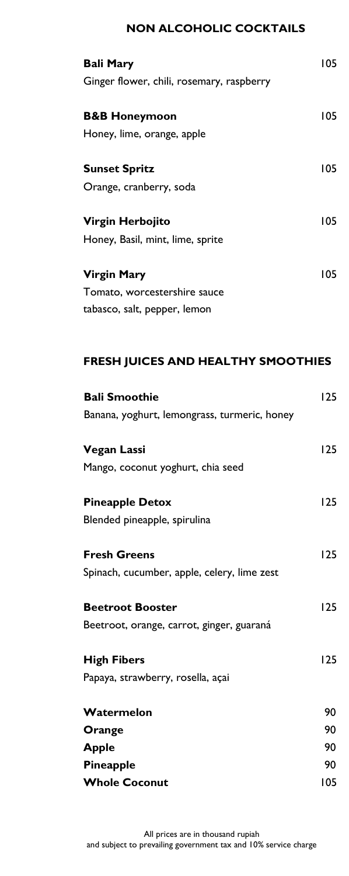## **NON ALCOHOLIC COCKTAILS**

| <b>Bali Mary</b><br>Ginger flower, chili, rosemary, raspberry | 105 |
|---------------------------------------------------------------|-----|
| <b>B&amp;B Honeymoon</b>                                      | 105 |
| Honey, lime, orange, apple                                    |     |
| <b>Sunset Spritz</b>                                          | 105 |
| Orange, cranberry, soda                                       |     |
| Virgin Herbojito                                              | 105 |
| Honey, Basil, mint, lime, sprite                              |     |
| <b>Virgin Mary</b>                                            | 105 |
| Tomato, worcestershire sauce                                  |     |
| tabasco, salt, pepper, lemon                                  |     |

# **FRESH JUICES AND HEALTHY SMOOTHIES**

| <b>Bali Smoothie</b>                         | 125 |
|----------------------------------------------|-----|
| Banana, yoghurt, lemongrass, turmeric, honey |     |
| <b>Vegan Lassi</b>                           | 125 |
| Mango, coconut yoghurt, chia seed            |     |
| <b>Pineapple Detox</b>                       | 125 |
| Blended pineapple, spirulina                 |     |
| <b>Fresh Greens</b>                          | 125 |
| Spinach, cucumber, apple, celery, lime zest  |     |
| <b>Beetroot Booster</b>                      | 125 |
| Beetroot, orange, carrot, ginger, guaraná    |     |
| <b>High Fibers</b>                           | 125 |
| Papaya, strawberry, rosella, açai            |     |
| Watermelon                                   | 90  |
| Orange                                       | 90  |
| <b>Apple</b>                                 | 90  |
| Pineapple                                    | 90  |
| <b>Whole Coconut</b>                         | 105 |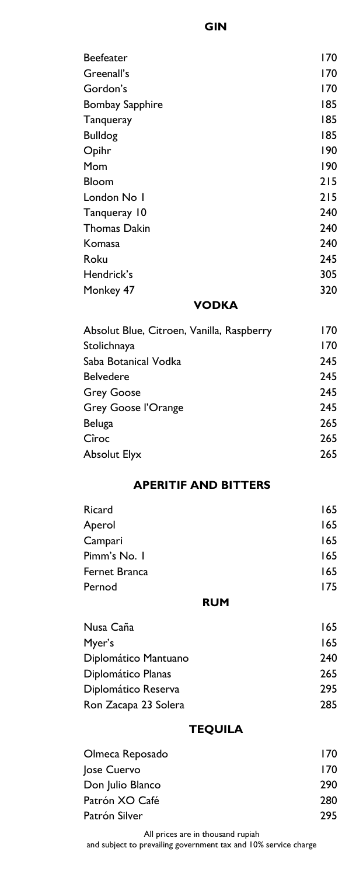| <b>Beefeater</b>       | 170 |
|------------------------|-----|
| Greenall's             | 170 |
| Gordon's               | 170 |
| <b>Bombay Sapphire</b> | 185 |
| Tanqueray              | 185 |
| <b>Bulldog</b>         | 185 |
| Opihr                  | 190 |
| Mom                    | 190 |
| Bloom                  | 215 |
| London No I            | 215 |
| Tanqueray 10           | 240 |
| <b>Thomas Dakin</b>    | 240 |
| Komasa                 | 240 |
| Roku                   | 245 |
| Hendrick's             | 305 |
| Monkey 47              | 320 |
| <u>varija</u>          |     |

## **VODKA**

| Absolut Blue, Citroen, Vanilla, Raspberry | 170 |
|-------------------------------------------|-----|
| Stolichnaya                               | 170 |
| Saba Botanical Vodka                      | 245 |
| <b>Belvedere</b>                          | 245 |
| <b>Grey Goose</b>                         | 245 |
| <b>Grey Goose l'Orange</b>                | 245 |
| Beluga                                    | 265 |
| Cîroc                                     | 265 |
| <b>Absolut Elyx</b>                       | 265 |
|                                           |     |

## **APERITIF AND BITTERS**

| Ricard        | 165 |
|---------------|-----|
| Aperol        | 165 |
| Campari       | 165 |
| Pimm's No. I  | 165 |
| Fernet Branca | 165 |
| Pernod        | 175 |
|               |     |

#### **RUM**

| Nusa Caña            | 165 |
|----------------------|-----|
| Myer's               | 165 |
| Diplomático Mantuano | 240 |
| Diplomático Planas   | 265 |
| Diplomático Reserva  | 295 |
| Ron Zacapa 23 Solera | 285 |

## **TEQUILA**

| Olmeca Reposado  | 170 |
|------------------|-----|
| Jose Cuervo      | 170 |
| Don Julio Blanco | 290 |
| Patrón XO Café   | 280 |
| Patrón Silver    | 295 |

All prices are in thousand rupiah and subject to prevailing government tax and 10% service charge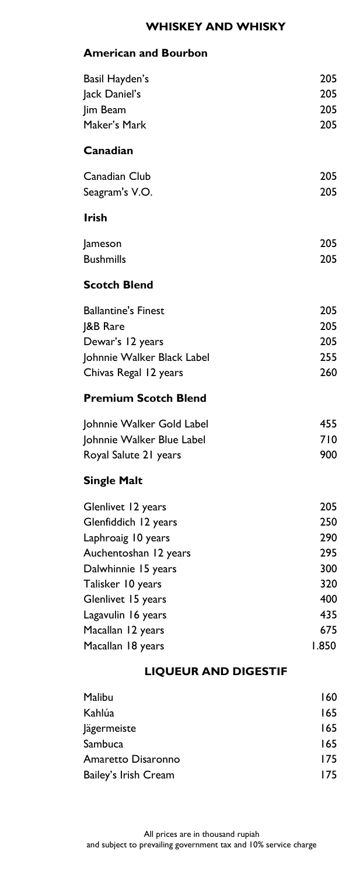# **WHISKEY AND WHISKY**

## **American and Bourbon**

| Basil Hayden's              | 205   |
|-----------------------------|-------|
| Jack Daniel's               | 205   |
| Jim Beam                    | 205   |
| Maker's Mark                | 205   |
| Canadian                    |       |
| Canadian Club               | 205   |
| Seagram's V.O.              | 205   |
| <b>Irish</b>                |       |
| Jameson                     | 205   |
| <b>Bushmills</b>            | 205   |
| <b>Scotch Blend</b>         |       |
| <b>Ballantine's Finest</b>  | 205   |
| <b>J&amp;B Rare</b>         | 205   |
| Dewar's 12 years            | 205   |
| Johnnie Walker Black Label  | 255   |
| Chivas Regal 12 years       | 260   |
| <b>Premium Scotch Blend</b> |       |
| Johnnie Walker Gold Label   | 455   |
| Johnnie Walker Blue Label   | 710   |
| Royal Salute 21 years       | 900   |
| <b>Single Malt</b>          |       |
| Glenlivet 12 years          | 205   |
| Glenfiddich 12 years        | 250   |
| Laphroaig 10 years          | 290   |
| Auchentoshan 12 years       | 295   |
| Dalwhinnie 15 years         | 300   |
| Talisker 10 years           | 320   |
| Glenlivet 15 years          | 400   |
| Lagavulin 16 years          | 435   |
| Macallan 12 years           | 675   |
| Macallan 18 years           | 1.850 |
| <b>LIQUEUR AND DIGESTIF</b> |       |
| Malibu                      | 160   |
| Kahlúa                      | 165   |
| <b>lägermeiste</b>          | 165   |

| . .                  |     |
|----------------------|-----|
| Sambuca              | 165 |
| Amaretto Disaronno   | 175 |
| Bailey's Irish Cream | 175 |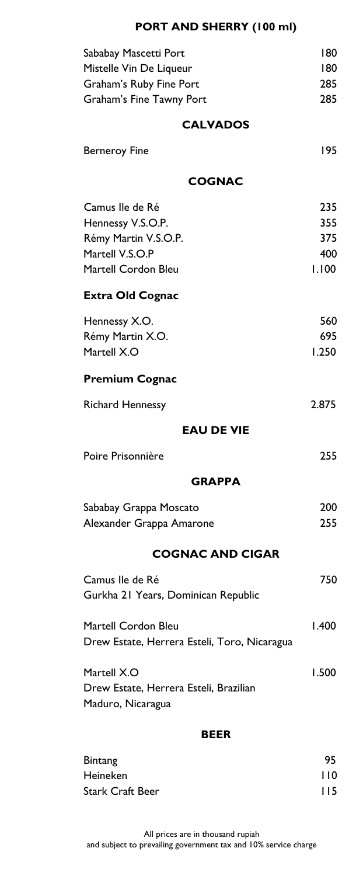# **PORT AND SHERRY (100 ml)**

| Sababay Mascetti Port<br>Mistelle Vin De Liqueur                           | 180<br>180 |  |
|----------------------------------------------------------------------------|------------|--|
| Graham's Ruby Fine Port<br>Graham's Fine Tawny Port                        | 285<br>285 |  |
| <b>CALVADOS</b>                                                            |            |  |
| <b>Berneroy Fine</b>                                                       | 195        |  |
| <b>COGNAC</b>                                                              |            |  |
| Camus Ile de Ré                                                            | 235        |  |
| Hennessy V.S.O.P.<br>Rémy Martin V.S.O.P.                                  | 355<br>375 |  |
| Martell V.S.O.P                                                            | 400        |  |
| <b>Martell Cordon Bleu</b>                                                 | 1.100      |  |
| <b>Extra Old Cognac</b>                                                    |            |  |
| Hennessy X.O.                                                              | 560        |  |
| Rémy Martin X.O.                                                           | 695        |  |
| Martell X.O                                                                | 1.250      |  |
| <b>Premium Cognac</b>                                                      |            |  |
| <b>Richard Hennessy</b>                                                    | 2.875      |  |
| <b>EAU DE VIE</b>                                                          |            |  |
| Poire Prisonnière                                                          | 255        |  |
| <b>GRAPPA</b>                                                              |            |  |
| Sababay Grappa Moscato                                                     | 200        |  |
| Alexander Grappa Amarone                                                   | 255        |  |
| <b>COGNAC AND CIGAR</b>                                                    |            |  |
| Camus Ile de Ré<br>Gurkha 21 Years, Dominican Republic                     | 750        |  |
| Martell Cordon Bleu<br>Drew Estate, Herrera Esteli, Toro, Nicaragua        | 1.400      |  |
| Martell X.O<br>Drew Estate, Herrera Esteli, Brazilian<br>Maduro, Nicaragua | 1.500      |  |
| <b>BEER</b>                                                                |            |  |
| <b>Bintang</b>                                                             |            |  |
|                                                                            |            |  |
| Heineken                                                                   | 95<br>110  |  |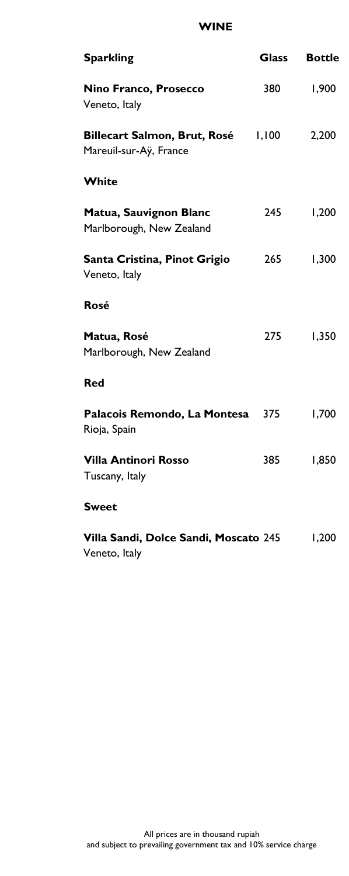#### **WINE**

| <b>Sparkling</b>                                              | <b>Glass</b> | <b>Bottle</b> |
|---------------------------------------------------------------|--------------|---------------|
| Nino Franco, Prosecco<br>Veneto, Italy                        | 380          | 1,900         |
| <b>Billecart Salmon, Brut, Rosé</b><br>Mareuil-sur-Ay, France | 1,100        | 2,200         |
| White                                                         |              |               |
| Matua, Sauvignon Blanc<br>Marlborough, New Zealand            | 245          | 1,200         |
| Santa Cristina, Pinot Grigio<br>Veneto, Italy                 | 265          | 1,300         |
| Rosé                                                          |              |               |
| Matua, Rosé<br>Marlborough, New Zealand                       | 275          | 1,350         |
| <b>Red</b>                                                    |              |               |
| Palacois Remondo, La Montesa<br>Rioja, Spain                  | 375          | 1,700         |
| <b>Villa Antinori Rosso</b><br>Tuscany, Italy                 | 385          | 1,850         |
| <b>Sweet</b>                                                  |              |               |
| Villa Sandi, Dolce Sandi, Moscato 245<br>Veneto, Italy        |              | 1,200         |